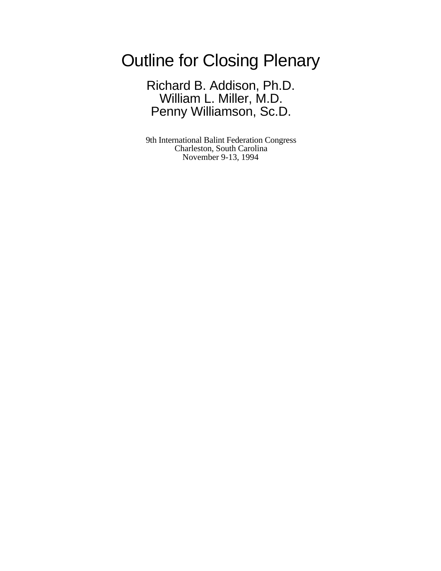Outline for Closing Plenary

Richard B. Addison, Ph.D. William L. Miller, M.D. Penny Williamson, Sc.D.

9th International Balint Federation Congress Charleston, South Carolina November 9-13, 1994